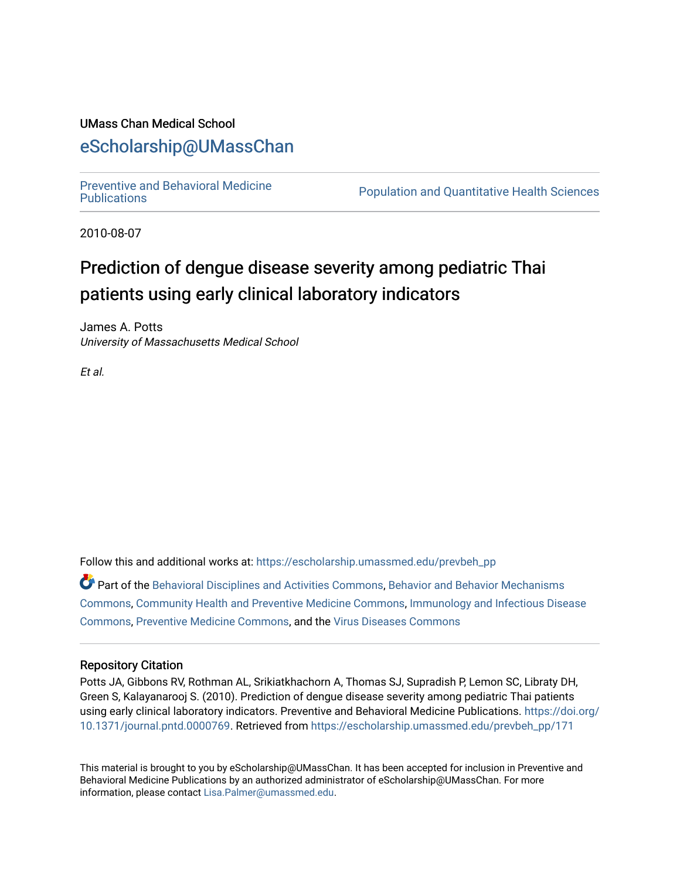# UMass Chan Medical School

# [eScholarship@UMassChan](https://escholarship.umassmed.edu/)

[Preventive and Behavioral Medicine](https://escholarship.umassmed.edu/prevbeh_pp) 

Population and Quantitative Health Sciences

2010-08-07

# Prediction of dengue disease severity among pediatric Thai patients using early clinical laboratory indicators

James A. Potts University of Massachusetts Medical School

Et al.

Follow this and additional works at: [https://escholarship.umassmed.edu/prevbeh\\_pp](https://escholarship.umassmed.edu/prevbeh_pp?utm_source=escholarship.umassmed.edu%2Fprevbeh_pp%2F171&utm_medium=PDF&utm_campaign=PDFCoverPages) 

Part of the [Behavioral Disciplines and Activities Commons](http://network.bepress.com/hgg/discipline/980?utm_source=escholarship.umassmed.edu%2Fprevbeh_pp%2F171&utm_medium=PDF&utm_campaign=PDFCoverPages), [Behavior and Behavior Mechanisms](http://network.bepress.com/hgg/discipline/963?utm_source=escholarship.umassmed.edu%2Fprevbeh_pp%2F171&utm_medium=PDF&utm_campaign=PDFCoverPages)  [Commons](http://network.bepress.com/hgg/discipline/963?utm_source=escholarship.umassmed.edu%2Fprevbeh_pp%2F171&utm_medium=PDF&utm_campaign=PDFCoverPages), [Community Health and Preventive Medicine Commons,](http://network.bepress.com/hgg/discipline/744?utm_source=escholarship.umassmed.edu%2Fprevbeh_pp%2F171&utm_medium=PDF&utm_campaign=PDFCoverPages) [Immunology and Infectious Disease](http://network.bepress.com/hgg/discipline/33?utm_source=escholarship.umassmed.edu%2Fprevbeh_pp%2F171&utm_medium=PDF&utm_campaign=PDFCoverPages) [Commons](http://network.bepress.com/hgg/discipline/33?utm_source=escholarship.umassmed.edu%2Fprevbeh_pp%2F171&utm_medium=PDF&utm_campaign=PDFCoverPages), [Preventive Medicine Commons](http://network.bepress.com/hgg/discipline/703?utm_source=escholarship.umassmed.edu%2Fprevbeh_pp%2F171&utm_medium=PDF&utm_campaign=PDFCoverPages), and the [Virus Diseases Commons](http://network.bepress.com/hgg/discipline/998?utm_source=escholarship.umassmed.edu%2Fprevbeh_pp%2F171&utm_medium=PDF&utm_campaign=PDFCoverPages) 

# Repository Citation

Potts JA, Gibbons RV, Rothman AL, Srikiatkhachorn A, Thomas SJ, Supradish P, Lemon SC, Libraty DH, Green S, Kalayanarooj S. (2010). Prediction of dengue disease severity among pediatric Thai patients using early clinical laboratory indicators. Preventive and Behavioral Medicine Publications. [https://doi.org/](https://doi.org/10.1371/journal.pntd.0000769) [10.1371/journal.pntd.0000769](https://doi.org/10.1371/journal.pntd.0000769). Retrieved from [https://escholarship.umassmed.edu/prevbeh\\_pp/171](https://escholarship.umassmed.edu/prevbeh_pp/171?utm_source=escholarship.umassmed.edu%2Fprevbeh_pp%2F171&utm_medium=PDF&utm_campaign=PDFCoverPages)

This material is brought to you by eScholarship@UMassChan. It has been accepted for inclusion in Preventive and Behavioral Medicine Publications by an authorized administrator of eScholarship@UMassChan. For more information, please contact [Lisa.Palmer@umassmed.edu.](mailto:Lisa.Palmer@umassmed.edu)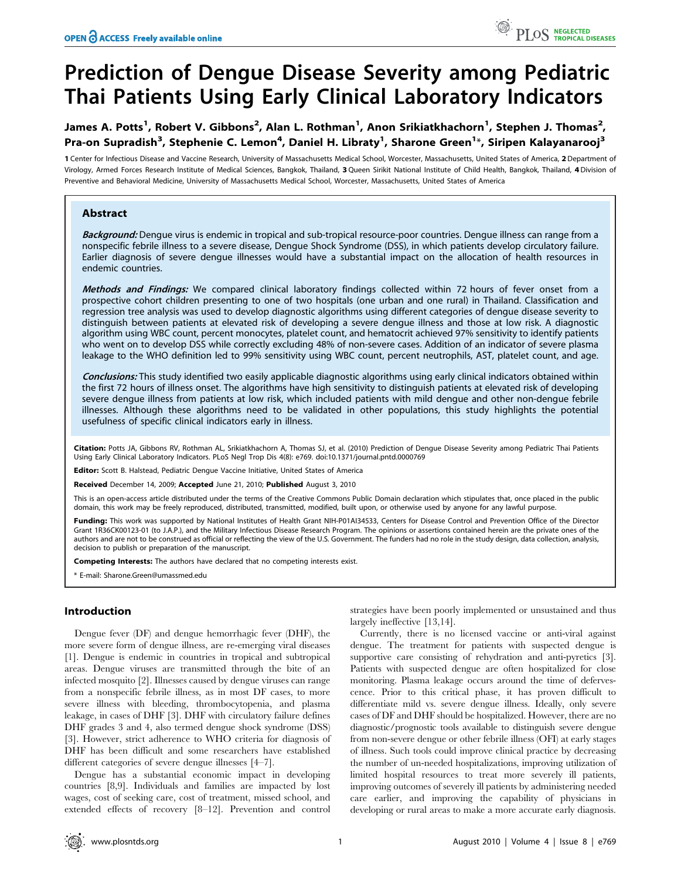# Prediction of Dengue Disease Severity among Pediatric Thai Patients Using Early Clinical Laboratory Indicators

# James A. Potts<sup>1</sup>, Robert V. Gibbons<sup>2</sup>, Alan L. Rothman<sup>1</sup>, Anon Srikiatkhachorn<sup>1</sup>, Stephen J. Thomas<sup>2</sup>, Pra-on Supradish<sup>3</sup>, Stephenie C. Lemon<sup>4</sup>, Daniel H. Libraty<sup>1</sup>, Sharone Green<sup>1</sup>\*, Siripen Kalayanarooj<sup>3</sup>

1 Center for Infectious Disease and Vaccine Research, University of Massachusetts Medical School, Worcester, Massachusetts, United States of America, 2 Department of Virology, Armed Forces Research Institute of Medical Sciences, Bangkok, Thailand, 3Queen Sirikit National Institute of Child Health, Bangkok, Thailand, 4Division of Preventive and Behavioral Medicine, University of Massachusetts Medical School, Worcester, Massachusetts, United States of America

# Abstract

Background: Dengue virus is endemic in tropical and sub-tropical resource-poor countries. Dengue illness can range from a nonspecific febrile illness to a severe disease, Dengue Shock Syndrome (DSS), in which patients develop circulatory failure. Earlier diagnosis of severe dengue illnesses would have a substantial impact on the allocation of health resources in endemic countries.

Methods and Findings: We compared clinical laboratory findings collected within 72 hours of fever onset from a prospective cohort children presenting to one of two hospitals (one urban and one rural) in Thailand. Classification and regression tree analysis was used to develop diagnostic algorithms using different categories of dengue disease severity to distinguish between patients at elevated risk of developing a severe dengue illness and those at low risk. A diagnostic algorithm using WBC count, percent monocytes, platelet count, and hematocrit achieved 97% sensitivity to identify patients who went on to develop DSS while correctly excluding 48% of non-severe cases. Addition of an indicator of severe plasma leakage to the WHO definition led to 99% sensitivity using WBC count, percent neutrophils, AST, platelet count, and age.

Conclusions: This study identified two easily applicable diagnostic algorithms using early clinical indicators obtained within the first 72 hours of illness onset. The algorithms have high sensitivity to distinguish patients at elevated risk of developing severe dengue illness from patients at low risk, which included patients with mild dengue and other non-dengue febrile illnesses. Although these algorithms need to be validated in other populations, this study highlights the potential usefulness of specific clinical indicators early in illness.

Citation: Potts JA, Gibbons RV, Rothman AL, Srikiatkhachorn A, Thomas SJ, et al. (2010) Prediction of Dengue Disease Severity among Pediatric Thai Patients Using Early Clinical Laboratory Indicators. PLoS Negl Trop Dis 4(8): e769. doi:10.1371/journal.pntd.0000769

Editor: Scott B. Halstead, Pediatric Dengue Vaccine Initiative, United States of America

Received December 14, 2009; Accepted June 21, 2010; Published August 3, 2010

This is an open-access article distributed under the terms of the Creative Commons Public Domain declaration which stipulates that, once placed in the public domain, this work may be freely reproduced, distributed, transmitted, modified, built upon, or otherwise used by anyone for any lawful purpose.

Funding: This work was supported by National Institutes of Health Grant NIH-P01AI34533, Centers for Disease Control and Prevention Office of the Director Grant 1R36CK00123-01 (to J.A.P.), and the Military Infectious Disease Research Program. The opinions or assertions contained herein are the private ones of the authors and are not to be construed as official or reflecting the view of the U.S. Government. The funders had no role in the study design, data collection, analysis, decision to publish or preparation of the manuscript.

Competing Interests: The authors have declared that no competing interests exist.

\* E-mail: Sharone.Green@umassmed.edu

# Introduction

Dengue fever (DF) and dengue hemorrhagic fever (DHF), the more severe form of dengue illness, are re-emerging viral diseases [1]. Dengue is endemic in countries in tropical and subtropical areas. Dengue viruses are transmitted through the bite of an infected mosquito [2]. Illnesses caused by dengue viruses can range from a nonspecific febrile illness, as in most DF cases, to more severe illness with bleeding, thrombocytopenia, and plasma leakage, in cases of DHF [3]. DHF with circulatory failure defines DHF grades 3 and 4, also termed dengue shock syndrome (DSS) [3]. However, strict adherence to WHO criteria for diagnosis of DHF has been difficult and some researchers have established different categories of severe dengue illnesses [4–7].

Dengue has a substantial economic impact in developing countries [8,9]. Individuals and families are impacted by lost wages, cost of seeking care, cost of treatment, missed school, and extended effects of recovery [8–12]. Prevention and control

strategies have been poorly implemented or unsustained and thus largely ineffective [13,14].

Currently, there is no licensed vaccine or anti-viral against dengue. The treatment for patients with suspected dengue is supportive care consisting of rehydration and anti-pyretics [3]. Patients with suspected dengue are often hospitalized for close monitoring. Plasma leakage occurs around the time of defervescence. Prior to this critical phase, it has proven difficult to differentiate mild vs. severe dengue illness. Ideally, only severe cases of DF and DHF should be hospitalized. However, there are no diagnostic/prognostic tools available to distinguish severe dengue from non-severe dengue or other febrile illness (OFI) at early stages of illness. Such tools could improve clinical practice by decreasing the number of un-needed hospitalizations, improving utilization of limited hospital resources to treat more severely ill patients, improving outcomes of severely ill patients by administering needed care earlier, and improving the capability of physicians in developing or rural areas to make a more accurate early diagnosis.

PLOS NEGLECTED<br>PLOS TROPICAL DISEASES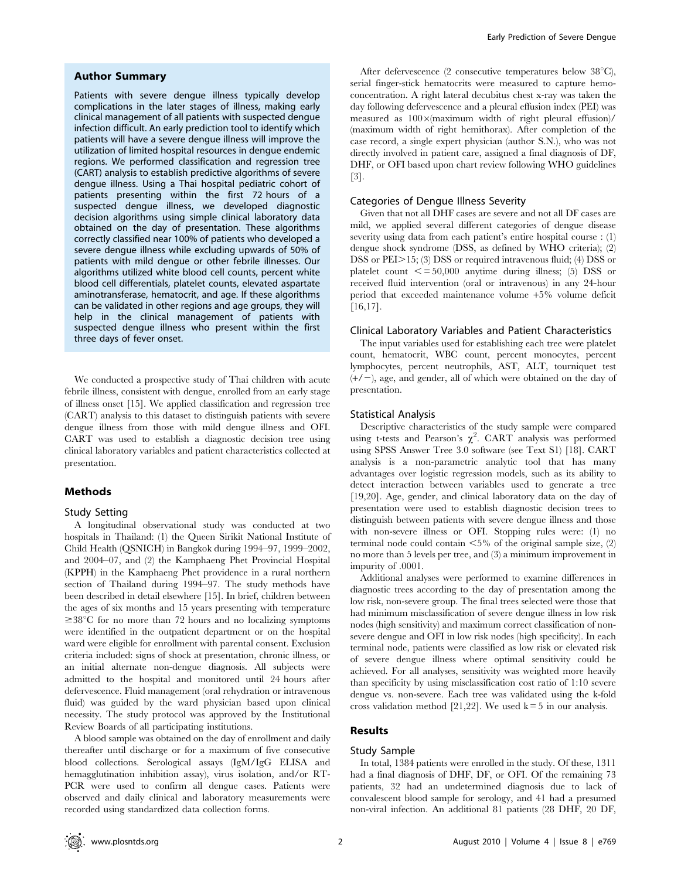#### Author Summary

Patients with severe dengue illness typically develop complications in the later stages of illness, making early clinical management of all patients with suspected dengue infection difficult. An early prediction tool to identify which patients will have a severe dengue illness will improve the utilization of limited hospital resources in dengue endemic regions. We performed classification and regression tree (CART) analysis to establish predictive algorithms of severe dengue illness. Using a Thai hospital pediatric cohort of patients presenting within the first 72 hours of a suspected dengue illness, we developed diagnostic decision algorithms using simple clinical laboratory data obtained on the day of presentation. These algorithms correctly classified near 100% of patients who developed a severe dengue illness while excluding upwards of 50% of patients with mild dengue or other febrile illnesses. Our algorithms utilized white blood cell counts, percent white blood cell differentials, platelet counts, elevated aspartate aminotransferase, hematocrit, and age. If these algorithms can be validated in other regions and age groups, they will help in the clinical management of patients with suspected dengue illness who present within the first three days of fever onset.

We conducted a prospective study of Thai children with acute febrile illness, consistent with dengue, enrolled from an early stage of illness onset [15]. We applied classification and regression tree (CART) analysis to this dataset to distinguish patients with severe dengue illness from those with mild dengue illness and OFI. CART was used to establish a diagnostic decision tree using clinical laboratory variables and patient characteristics collected at presentation.

#### Methods

### Study Setting

A longitudinal observational study was conducted at two hospitals in Thailand: (1) the Queen Sirikit National Institute of Child Health (QSNICH) in Bangkok during 1994–97, 1999–2002, and 2004–07, and (2) the Kamphaeng Phet Provincial Hospital (KPPH) in the Kamphaeng Phet providence in a rural northern section of Thailand during 1994–97. The study methods have been described in detail elsewhere [15]. In brief, children between the ages of six months and 15 years presenting with temperature  $\geq 38^{\circ}$ C for no more than 72 hours and no localizing symptoms were identified in the outpatient department or on the hospital ward were eligible for enrollment with parental consent. Exclusion criteria included: signs of shock at presentation, chronic illness, or an initial alternate non-dengue diagnosis. All subjects were admitted to the hospital and monitored until 24 hours after defervescence. Fluid management (oral rehydration or intravenous fluid) was guided by the ward physician based upon clinical necessity. The study protocol was approved by the Institutional Review Boards of all participating institutions.

A blood sample was obtained on the day of enrollment and daily thereafter until discharge or for a maximum of five consecutive blood collections. Serological assays (IgM/IgG ELISA and hemagglutination inhibition assay), virus isolation, and/or RT-PCR were used to confirm all dengue cases. Patients were observed and daily clinical and laboratory measurements were recorded using standardized data collection forms.

After defervescence (2 consecutive temperatures below  $38^{\circ}$ C), serial finger-stick hematocrits were measured to capture hemoconcentration. A right lateral decubitus chest x-ray was taken the day following defervescence and a pleural effusion index (PEI) was measured as  $100 \times (maximum \ width \ of \ right \ plevant \ effusion)$ / (maximum width of right hemithorax). After completion of the case record, a single expert physician (author S.N.), who was not directly involved in patient care, assigned a final diagnosis of DF, DHF, or OFI based upon chart review following WHO guidelines [3].

#### Categories of Dengue Illness Severity

Given that not all DHF cases are severe and not all DF cases are mild, we applied several different categories of dengue disease severity using data from each patient's entire hospital course : (1) dengue shock syndrome (DSS, as defined by WHO criteria); (2) DSS or  $PEI>15$ ; (3) DSS or required intravenous fluid; (4) DSS or platelet count  $\le$  = 50,000 anytime during illness; (5) DSS or received fluid intervention (oral or intravenous) in any 24-hour period that exceeded maintenance volume +5% volume deficit [16,17].

#### Clinical Laboratory Variables and Patient Characteristics

The input variables used for establishing each tree were platelet count, hematocrit, WBC count, percent monocytes, percent lymphocytes, percent neutrophils, AST, ALT, tourniquet test  $(+/-)$ , age, and gender, all of which were obtained on the day of presentation.

#### Statistical Analysis

Descriptive characteristics of the study sample were compared using t-tests and Pearson's  $\chi^2$ . CART analysis was performed using SPSS Answer Tree 3.0 software (see Text S1) [18]. CART analysis is a non-parametric analytic tool that has many advantages over logistic regression models, such as its ability to detect interaction between variables used to generate a tree [19,20]. Age, gender, and clinical laboratory data on the day of presentation were used to establish diagnostic decision trees to distinguish between patients with severe dengue illness and those with non-severe illness or OFI. Stopping rules were: (1) no terminal node could contain  $<5\%$  of the original sample size, (2) no more than 5 levels per tree, and (3) a minimum improvement in impurity of .0001.

Additional analyses were performed to examine differences in diagnostic trees according to the day of presentation among the low risk, non-severe group. The final trees selected were those that had minimum misclassification of severe dengue illness in low risk nodes (high sensitivity) and maximum correct classification of nonsevere dengue and OFI in low risk nodes (high specificity). In each terminal node, patients were classified as low risk or elevated risk of severe dengue illness where optimal sensitivity could be achieved. For all analyses, sensitivity was weighted more heavily than specificity by using misclassification cost ratio of 1:10 severe dengue vs. non-severe. Each tree was validated using the k-fold cross validation method [21,22]. We used  $k = 5$  in our analysis.

# Results

# Study Sample

In total, 1384 patients were enrolled in the study. Of these, 1311 had a final diagnosis of DHF, DF, or OFI. Of the remaining 73 patients, 32 had an undetermined diagnosis due to lack of convalescent blood sample for serology, and 41 had a presumed non-viral infection. An additional 81 patients (28 DHF, 20 DF,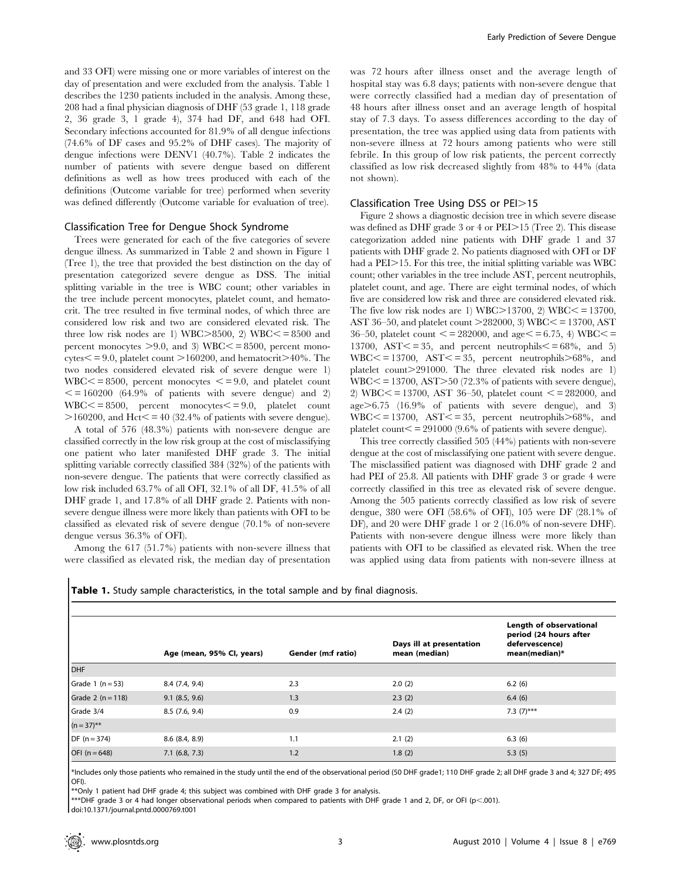and 33 OFI) were missing one or more variables of interest on the day of presentation and were excluded from the analysis. Table 1 describes the 1230 patients included in the analysis. Among these, 208 had a final physician diagnosis of DHF (53 grade 1, 118 grade 2, 36 grade 3, 1 grade 4), 374 had DF, and 648 had OFI. Secondary infections accounted for 81.9% of all dengue infections (74.6% of DF cases and 95.2% of DHF cases). The majority of dengue infections were DENV1 (40.7%). Table 2 indicates the number of patients with severe dengue based on different definitions as well as how trees produced with each of the definitions (Outcome variable for tree) performed when severity was defined differently (Outcome variable for evaluation of tree).

#### Classification Tree for Dengue Shock Syndrome

Trees were generated for each of the five categories of severe dengue illness. As summarized in Table 2 and shown in Figure 1 (Tree 1), the tree that provided the best distinction on the day of presentation categorized severe dengue as DSS. The initial splitting variable in the tree is WBC count; other variables in the tree include percent monocytes, platelet count, and hematocrit. The tree resulted in five terminal nodes, of which three are considered low risk and two are considered elevated risk. The three low risk nodes are 1) WBC $>8500$ , 2) WBC $\leq$  = 8500 and percent monocytes  $> 9.0$ , and 3) WBC $\lt$  = 8500, percent mono- $\text{cvtes} \le 9.0$ , platelet count  $>160200$ , and hematocrit $>40\%$ . The two nodes considered elevated risk of severe dengue were 1)  $WBC \le 8500$ , percent monocytes  $\le 9.0$ , and platelet count  $\epsilon$  = 160200 (64.9% of patients with severe dengue) and 2)  $WBC \le 8500$ , percent monocytes $\le 9.0$ , platelet count  $>160200$ , and Hct $\leq$  = 40 (32.4% of patients with severe dengue).

A total of 576 (48.3%) patients with non-severe dengue are classified correctly in the low risk group at the cost of misclassifying one patient who later manifested DHF grade 3. The initial splitting variable correctly classified 384 (32%) of the patients with non-severe dengue. The patients that were correctly classified as low risk included 63.7% of all OFI, 32.1% of all DF, 41.5% of all DHF grade 1, and 17.8% of all DHF grade 2. Patients with nonsevere dengue illness were more likely than patients with OFI to be classified as elevated risk of severe dengue (70.1% of non-severe dengue versus 36.3% of OFI).

Among the 617 (51.7%) patients with non-severe illness that were classified as elevated risk, the median day of presentation

was 72 hours after illness onset and the average length of hospital stay was 6.8 days; patients with non-severe dengue that were correctly classified had a median day of presentation of 48 hours after illness onset and an average length of hospital stay of 7.3 days. To assess differences according to the day of presentation, the tree was applied using data from patients with non-severe illness at 72 hours among patients who were still febrile. In this group of low risk patients, the percent correctly classified as low risk decreased slightly from 48% to 44% (data not shown).

#### Classification Tree Using DSS or PEI>15

Figure 2 shows a diagnostic decision tree in which severe disease was defined as DHF grade  $3$  or  $4$  or  $PEI > 15$  (Tree 2). This disease categorization added nine patients with DHF grade 1 and 37 patients with DHF grade 2. No patients diagnosed with OFI or DF had a  $PEI > 15$ . For this tree, the initial splitting variable was WBC count; other variables in the tree include AST, percent neutrophils, platelet count, and age. There are eight terminal nodes, of which five are considered low risk and three are considered elevated risk. The five low risk nodes are 1) WBC $>$ 13700, 2) WBC $\le$  = 13700, AST 36–50, and platelet count  $>$ 282000, 3) WBC $\lt$  = 13700, AST 36–50, platelet count  $\leq$  = 282000, and age $\leq$  = 6.75, 4) WBC $\leq$  = 13700,  $\text{AST} \leq 35$ , and percent neutrophils $\leq 68\%$ , and 5)  $WBC \le 13700$ ,  $AST \le 35$ , percent neutrophils $> 68\%$ , and platelet count.>291000. The three elevated risk nodes are 1)  $WBC \le 13700$ ,  $AST \ge 50$  (72.3% of patients with severe dengue), 2) WBC $\lt$  = 13700, AST 36-50, platelet count  $\lt$  = 282000, and age>6.75 (16.9% of patients with severe dengue), and 3)  $WBC \le 13700$ ,  $AST \le 35$ , percent neutrophils $> 68\%$ , and platelet count $\le$  = 291000 (9.6% of patients with severe dengue).

This tree correctly classified 505 (44%) patients with non-severe dengue at the cost of misclassifying one patient with severe dengue. The misclassified patient was diagnosed with DHF grade 2 and had PEI of 25.8. All patients with DHF grade 3 or grade 4 were correctly classified in this tree as elevated risk of severe dengue. Among the 505 patients correctly classified as low risk of severe dengue, 380 were OFI (58.6% of OFI), 105 were DF (28.1% of DF), and 20 were DHF grade 1 or 2 (16.0% of non-severe DHF). Patients with non-severe dengue illness were more likely than patients with OFI to be classified as elevated risk. When the tree was applied using data from patients with non-severe illness at

|  |  | <b>Table 1.</b> Study sample characteristics, in the total sample and by final diagnosis. |  |  |  |  |  |  |
|--|--|-------------------------------------------------------------------------------------------|--|--|--|--|--|--|
|--|--|-------------------------------------------------------------------------------------------|--|--|--|--|--|--|

|                        |                           |                    |                                           | Length of observational                                   |  |
|------------------------|---------------------------|--------------------|-------------------------------------------|-----------------------------------------------------------|--|
|                        | Age (mean, 95% Cl, years) | Gender (m:f ratio) | Days ill at presentation<br>mean (median) | period (24 hours after<br>defervescence)<br>mean(median)* |  |
| DHF                    |                           |                    |                                           |                                                           |  |
| Grade $1 (n = 53)$     | 8.4(7.4, 9.4)             | 2.3                | 2.0(2)                                    | 6.2(6)                                                    |  |
| Grade 2 $(n = 118)$    | $9.1$ $(8.5, 9.6)$        | 1.3                | 2.3(2)                                    | 6.4(6)                                                    |  |
| Grade 3/4              | 8.5(7.6, 9.4)             | 0.9                | 2.4(2)                                    | 7.3 $(7)$ ***                                             |  |
| $(n=37)$ <sup>**</sup> |                           |                    |                                           |                                                           |  |
| $DF (n = 374)$         | 8.6(8.4, 8.9)             | 1.1                | 2.1(2)                                    | 6.3(6)                                                    |  |
| OFI $(n = 648)$        | $7.1$ (6.8, 7.3)          | 1.2                | 1.8(2)                                    | 5.3(5)                                                    |  |

\*Includes only those patients who remained in the study until the end of the observational period (50 DHF grade1; 110 DHF grade 2; all DHF grade 3 and 4; 327 DF; 495 OFI).

\*\*Only 1 patient had DHF grade 4; this subject was combined with DHF grade 3 for analysis.

\*\*\*DHF grade 3 or 4 had longer observational periods when compared to patients with DHF grade 1 and 2, DF, or OFI (p<.001).

doi:10.1371/journal.pntd.0000769.t001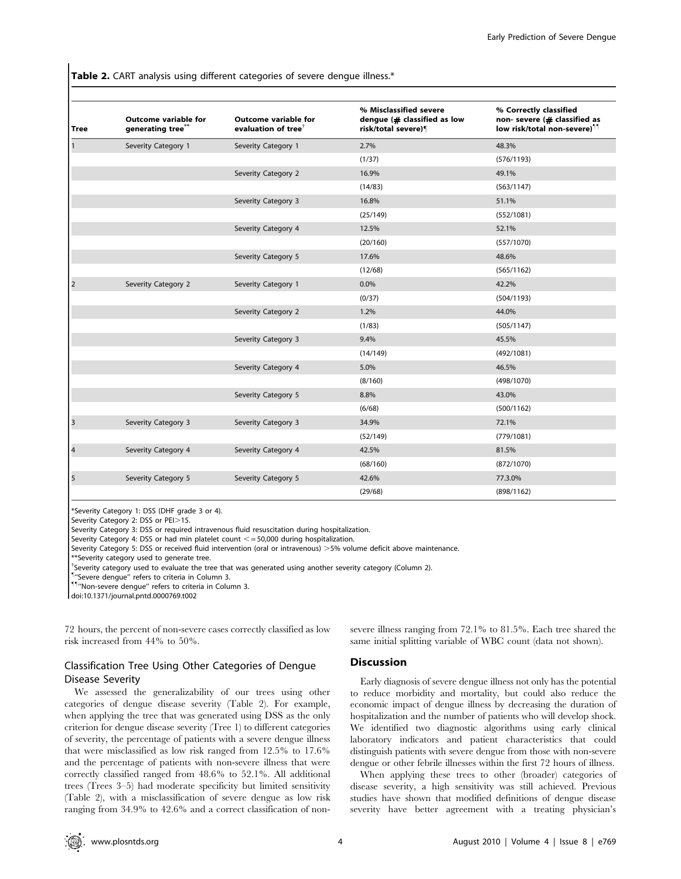Table 2. CART analysis using different categories of severe dengue illness.\*

| <b>Tree</b>             | <b>Outcome variable for</b><br>generating tree** | <b>Outcome variable for</b><br>evaluation of tree <sup>†</sup> | % Misclassified severe<br>dengue $($ # classified as low<br>risk/total severe)¶ | % Correctly classified<br>non- severe (# classified as<br>low risk/total non-severe) <sup>11</sup> |
|-------------------------|--------------------------------------------------|----------------------------------------------------------------|---------------------------------------------------------------------------------|----------------------------------------------------------------------------------------------------|
|                         | Severity Category 1                              | Severity Category 1                                            | 2.7%                                                                            | 48.3%                                                                                              |
|                         |                                                  |                                                                | (1/37)                                                                          | (576/1193)                                                                                         |
|                         |                                                  | Severity Category 2                                            | 16.9%                                                                           | 49.1%                                                                                              |
|                         |                                                  |                                                                | (14/83)                                                                         | (563/1147)                                                                                         |
|                         |                                                  | Severity Category 3                                            | 16.8%                                                                           | 51.1%                                                                                              |
|                         |                                                  |                                                                | (25/149)                                                                        | (552/1081)                                                                                         |
|                         |                                                  | Severity Category 4                                            | 12.5%                                                                           | 52.1%                                                                                              |
|                         |                                                  |                                                                | (20/160)                                                                        | (557/1070)                                                                                         |
|                         |                                                  | Severity Category 5                                            | 17.6%                                                                           | 48.6%                                                                                              |
|                         |                                                  |                                                                | (12/68)                                                                         | (565/1162)                                                                                         |
| $\overline{2}$          | Severity Category 2                              | Severity Category 1                                            | 0.0%                                                                            | 42.2%                                                                                              |
|                         |                                                  |                                                                | (0/37)                                                                          | (504/1193)                                                                                         |
|                         |                                                  | Severity Category 2                                            | 1.2%                                                                            | 44.0%                                                                                              |
|                         |                                                  |                                                                | (1/83)                                                                          | (505/1147)                                                                                         |
|                         |                                                  | Severity Category 3                                            | 9.4%                                                                            | 45.5%                                                                                              |
|                         |                                                  |                                                                | (14/149)                                                                        | (492/1081)                                                                                         |
|                         |                                                  | Severity Category 4                                            | 5.0%                                                                            | 46.5%                                                                                              |
|                         |                                                  |                                                                | (8/160)                                                                         | (498/1070)                                                                                         |
|                         |                                                  | Severity Category 5                                            | 8.8%                                                                            | 43.0%                                                                                              |
|                         |                                                  |                                                                | (6/68)                                                                          | (500/1162)                                                                                         |
| $\overline{3}$          | Severity Category 3                              | Severity Category 3                                            | 34.9%                                                                           | 72.1%                                                                                              |
|                         |                                                  |                                                                | (52/149)                                                                        | (779/1081)                                                                                         |
| $\overline{\mathbf{4}}$ | Severity Category 4                              | Severity Category 4                                            | 42.5%                                                                           | 81.5%                                                                                              |
|                         |                                                  |                                                                | (68/160)                                                                        | (872/1070)                                                                                         |
| 5                       | Severity Category 5                              | Severity Category 5                                            | 42.6%                                                                           | 77.3.0%                                                                                            |
|                         |                                                  |                                                                | (29/68)                                                                         | (898/1162)                                                                                         |

\*Severity Category 1: DSS (DHF grade 3 or 4).

Severity Category 2: DSS or PEI>15.

Severity Category 3: DSS or required intravenous fluid resuscitation during hospitalization.

Severity Category 4: DSS or had min platelet count  $\lt$  = 50,000 during hospitalization.

Severity Category 5: DSS or received fluid intervention (oral or intravenous) >5% volume deficit above maintenance.

\*\*Severity category used to generate tree.

<sup>†</sup>Severity category used to evaluate the tree that was generated using another severity category (Column 2).

" ''Severe dengue'' refers to criteria in Column 3.

""''Non-severe dengue'' refers to criteria in Column 3.

doi:10.1371/journal.pntd.0000769.t002

72 hours, the percent of non-severe cases correctly classified as low risk increased from 44% to 50%.

# Classification Tree Using Other Categories of Dengue Disease Severity

We assessed the generalizability of our trees using other categories of dengue disease severity (Table 2). For example, when applying the tree that was generated using DSS as the only criterion for dengue disease severity (Tree 1) to different categories of severity, the percentage of patients with a severe dengue illness that were misclassified as low risk ranged from 12.5% to 17.6% and the percentage of patients with non-severe illness that were correctly classified ranged from 48.6% to 52.1%. All additional trees (Trees 3–5) had moderate specificity but limited sensitivity (Table 2), with a misclassification of severe dengue as low risk ranging from 34.9% to 42.6% and a correct classification of nonsevere illness ranging from 72.1% to 81.5%. Each tree shared the same initial splitting variable of WBC count (data not shown).

## **Discussion**

Early diagnosis of severe dengue illness not only has the potential to reduce morbidity and mortality, but could also reduce the economic impact of dengue illness by decreasing the duration of hospitalization and the number of patients who will develop shock. We identified two diagnostic algorithms using early clinical laboratory indicators and patient characteristics that could distinguish patients with severe dengue from those with non-severe dengue or other febrile illnesses within the first 72 hours of illness.

When applying these trees to other (broader) categories of disease severity, a high sensitivity was still achieved. Previous studies have shown that modified definitions of dengue disease severity have better agreement with a treating physician's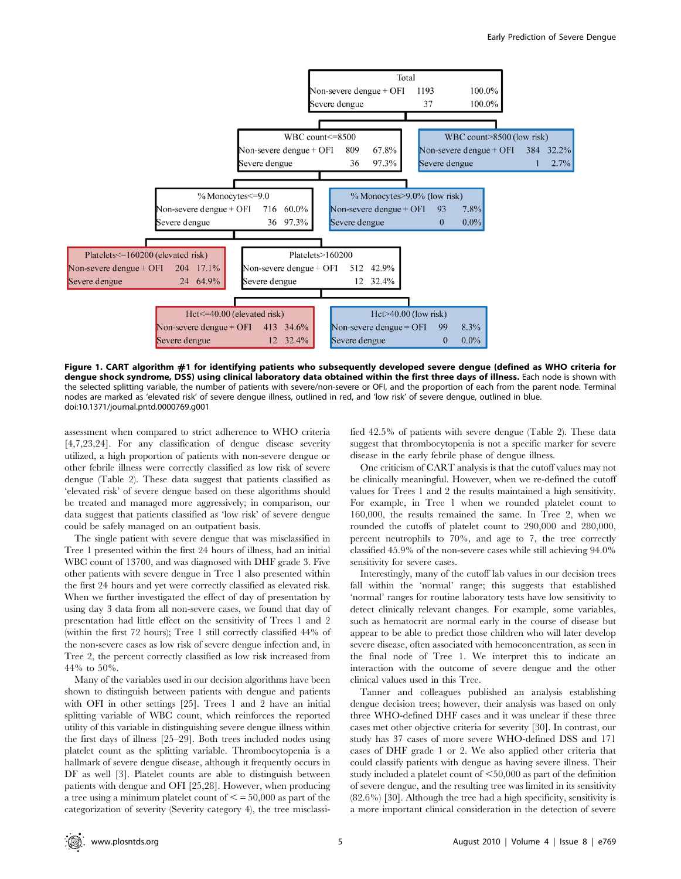

Figure 1. CART algorithm #1 for identifying patients who subsequently developed severe dengue (defined as WHO criteria for dengue shock syndrome, DSS) using clinical laboratory data obtained within the first three days of illness. Each node is shown with the selected splitting variable, the number of patients with severe/non-severe or OFI, and the proportion of each from the parent node. Terminal nodes are marked as 'elevated risk' of severe dengue illness, outlined in red, and 'low risk' of severe dengue, outlined in blue. doi:10.1371/journal.pntd.0000769.g001

assessment when compared to strict adherence to WHO criteria [4,7,23,24]. For any classification of dengue disease severity utilized, a high proportion of patients with non-severe dengue or other febrile illness were correctly classified as low risk of severe dengue (Table 2). These data suggest that patients classified as 'elevated risk' of severe dengue based on these algorithms should be treated and managed more aggressively; in comparison, our data suggest that patients classified as 'low risk' of severe dengue could be safely managed on an outpatient basis.

The single patient with severe dengue that was misclassified in Tree 1 presented within the first 24 hours of illness, had an initial WBC count of 13700, and was diagnosed with DHF grade 3. Five other patients with severe dengue in Tree 1 also presented within the first 24 hours and yet were correctly classified as elevated risk. When we further investigated the effect of day of presentation by using day 3 data from all non-severe cases, we found that day of presentation had little effect on the sensitivity of Trees 1 and 2 (within the first 72 hours); Tree 1 still correctly classified 44% of the non-severe cases as low risk of severe dengue infection and, in Tree 2, the percent correctly classified as low risk increased from 44% to 50%.

Many of the variables used in our decision algorithms have been shown to distinguish between patients with dengue and patients with OFI in other settings [25]. Trees 1 and 2 have an initial splitting variable of WBC count, which reinforces the reported utility of this variable in distinguishing severe dengue illness within the first days of illness [25–29]. Both trees included nodes using platelet count as the splitting variable. Thrombocytopenia is a hallmark of severe dengue disease, although it frequently occurs in DF as well [3]. Platelet counts are able to distinguish between patients with dengue and OFI [25,28]. However, when producing a tree using a minimum platelet count of  $\leq$  = 50,000 as part of the categorization of severity (Severity category 4), the tree misclassified 42.5% of patients with severe dengue (Table 2). These data suggest that thrombocytopenia is not a specific marker for severe disease in the early febrile phase of dengue illness.

One criticism of CART analysis is that the cutoff values may not be clinically meaningful. However, when we re-defined the cutoff values for Trees 1 and 2 the results maintained a high sensitivity. For example, in Tree 1 when we rounded platelet count to 160,000, the results remained the same. In Tree 2, when we rounded the cutoffs of platelet count to 290,000 and 280,000, percent neutrophils to 70%, and age to 7, the tree correctly classified 45.9% of the non-severe cases while still achieving 94.0% sensitivity for severe cases.

Interestingly, many of the cutoff lab values in our decision trees fall within the 'normal' range; this suggests that established 'normal' ranges for routine laboratory tests have low sensitivity to detect clinically relevant changes. For example, some variables, such as hematocrit are normal early in the course of disease but appear to be able to predict those children who will later develop severe disease, often associated with hemoconcentration, as seen in the final node of Tree 1. We interpret this to indicate an interaction with the outcome of severe dengue and the other clinical values used in this Tree.

Tanner and colleagues published an analysis establishing dengue decision trees; however, their analysis was based on only three WHO-defined DHF cases and it was unclear if these three cases met other objective criteria for severity [30]. In contrast, our study has 37 cases of more severe WHO-defined DSS and 171 cases of DHF grade 1 or 2. We also applied other criteria that could classify patients with dengue as having severe illness. Their study included a platelet count of  $<$  50,000 as part of the definition of severe dengue, and the resulting tree was limited in its sensitivity (82.6%) [30]. Although the tree had a high specificity, sensitivity is a more important clinical consideration in the detection of severe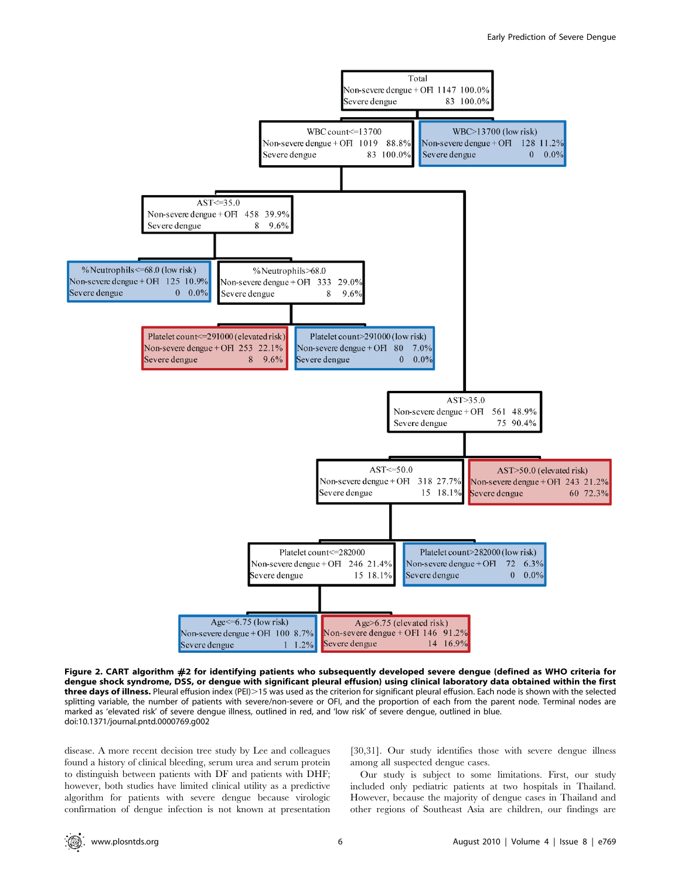

Figure 2. CART algorithm #2 for identifying patients who subsequently developed severe dengue (defined as WHO criteria for dengue shock syndrome, DSS, or dengue with significant pleural effusion) using clinical laboratory data obtained within the first three days of illness. Pleural effusion index (PEI)>15 was used as the criterion for significant pleural effusion. Each node is shown with the selected splitting variable, the number of patients with severe/non-severe or OFI, and the proportion of each from the parent node. Terminal nodes are marked as 'elevated risk' of severe dengue illness, outlined in red, and 'low risk' of severe dengue, outlined in blue. doi:10.1371/journal.pntd.0000769.g002

disease. A more recent decision tree study by Lee and colleagues found a history of clinical bleeding, serum urea and serum protein to distinguish between patients with DF and patients with DHF; however, both studies have limited clinical utility as a predictive algorithm for patients with severe dengue because virologic confirmation of dengue infection is not known at presentation

[30,31]. Our study identifies those with severe dengue illness among all suspected dengue cases.

Our study is subject to some limitations. First, our study included only pediatric patients at two hospitals in Thailand. However, because the majority of dengue cases in Thailand and other regions of Southeast Asia are children, our findings are